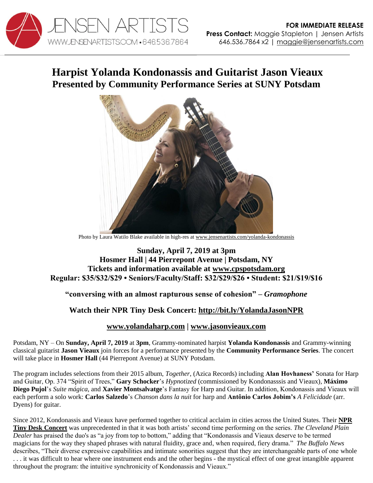

# **Harpist Yolanda Kondonassis and Guitarist Jason Vieaux Presented by Community Performance Series at SUNY Potsdam**



Photo by Laura Watilo Blake available in high-res at [www.jensenartists.com/yolanda-kondonassis](http://www.jensenartists.com/yolanda-kondonassis)

### **Sunday, April 7, 2019 at 3pm Hosmer Hall | 44 Pierrepont Avenue | Potsdam, NY Tickets and information available at [www.cpspotsdam.org](http://www.cpspotsdam.org/guest-artist-series) Regular: \$35/\$32/\$29 • Seniors/Faculty/Staff: \$32/\$29/\$26 • Student: \$21/\$19/\$16**

### **"conversing with an almost rapturous sense of cohesion" –** *Gramophone*

## **Watch their NPR Tiny Desk Concert: <http://bit.ly/YolandaJasonNPR>**

### **[www.yolandaharp.com](http://www.yolandaharp.com/) | [www.jasonvieaux.com](http://www.jasonvieaux.com/)**

Potsdam, NY – On **Sunday, April 7, 2019** at **3pm**, Grammy-nominated harpist **Yolanda Kondonassis** and Grammy-winning classical guitarist **Jason Vieaux** join forces for a performance presented by the **Community Performance Series**. The concert will take place in **Hosmer Hall** (44 Pierrepont Avenue) at SUNY Potsdam.

The program includes selections from their 2015 album, *Together*, (Azica Records) including **Alan Hovhaness'** Sonata for Harp and Guitar, Op. 374 "Spirit of Trees," **Gary Schocker**'s *Hypnotized* (commissioned by Kondonasssis and Vieaux)*,* **Máximo Diego Pujol**'s *Suite mágica*, and **Xavier Montsalvatge**'s Fantasy for Harp and Guitar. In addition, Kondonassis and Vieaux will each perform a solo work: **Carlos Salzedo**'s *Chanson dans la nuit* for harp and **Antônio Carlos Jobim's** *A Felicidade* (arr. Dyens) for guitar.

Since 2012, Kondonassis and Vieaux have performed together to critical acclaim in cities across the United States. Their **[NPR](http://bit.ly/YolandaJasonNPR)  [Tiny Desk Concert](http://bit.ly/YolandaJasonNPR)** was unprecedented in that it was both artists' second time performing on the series. *The Cleveland Plain Dealer* has praised the duo's as "a joy from top to bottom," adding that "Kondonassis and Vieaux deserve to be termed magicians for the way they shaped phrases with natural fluidity, grace and, when required, fiery drama." *The Buffalo News*  describes, "Their diverse expressive capabilities and intimate sonorities suggest that they are interchangeable parts of one whole . . . it was difficult to hear where one instrument ends and the other begins - the mystical effect of one great intangible apparent throughout the program: the intuitive synchronicity of Kondonassis and Vieaux."